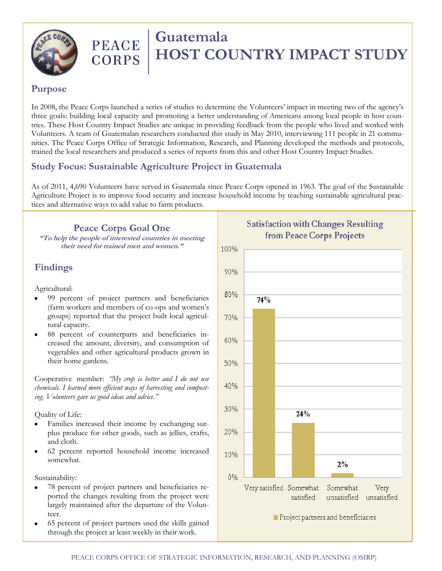

# PEACE Guatemala **CORPS | HOST COUNTRY IMPACT STUDY**

#### **Purpose**

In 2008, the Peace Corps launched a series of studies to determine the Volunteers' impact in meeting two of the agency's three goals: building local capacity and promoting a better understanding of Americans among local people in host countries. These Host Country Impact Studies are unique in providing feedback from the people who lived and worked with Volunteers. A team of Guatemalan researchers conducted this study in May 2010, interviewing 111 people in 21 communities. The Peace Corps Office of Strategic Information, Research, and Planning developed the methods and protocols, trained the local researchers and produced a series of reports from this and other Host Country Impact Studies.

### **Study Focus: Sustainable Agriculture Project in Guatemala**

As of 2011, 4,690 Volunteers have served in Guatemala since Peace Corps opened in 1963. The goal of the Sustainable Agriculture Project is to improve food security and increase household income by teaching sustainable agricultural practices and alternative ways to add value to farm products.

#### **Peace Corps Goal One**

**"To help the people of interested countries in meeting their need for trained men and women."**

## **Findings**

Agricultural:

- 99 percent of project partners and beneficiaries (farm workers and members of co-ops and women's groups) reported that the project built local agricultural capacity.
- 88 percent of counterparts and beneficiaries increased the amount, diversity, and consumption of vegetables and other agricultural products grown in their home gardens.

Cooperative member: *"My crop is better and I do not use chemicals. I learned more efficient ways of harvesting and composting. Volunteers gave us good ideas and advice."*

Quality of Life:

- Families increased their income by exchanging surplus produce for other goods, such as jellies, crafts, and cloth.
- 62 percent reported household income increased somewhat.

Sustainability:

- 78 percent of project partners and beneficiaries reported the changes resulting from the project were largely maintained after the departure of the Volunteer.
- 65 percent of project partners used the skills gained through the project at least weekly in their work.